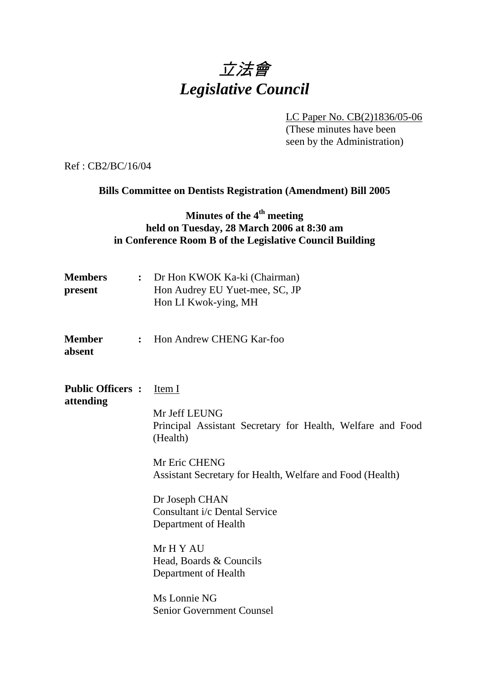# 立法會 *Legislative Council*

 LC Paper No. CB(2)1836/05-06 (These minutes have been seen by the Administration)

Ref : CB2/BC/16/04

**Bills Committee on Dentists Registration (Amendment) Bill 2005** 

# **Minutes of the 4th meeting held on Tuesday, 28 March 2006 at 8:30 am in Conference Room B of the Legislative Council Building**

| <b>Members</b><br>present            |                | : Dr Hon KWOK Ka-ki (Chairman)<br>Hon Audrey EU Yuet-mee, SC, JP<br>Hon LI Kwok-ying, MH                                                                                                                                                                                                                                                                                       |
|--------------------------------------|----------------|--------------------------------------------------------------------------------------------------------------------------------------------------------------------------------------------------------------------------------------------------------------------------------------------------------------------------------------------------------------------------------|
| Member<br>absent                     | $\ddot{\cdot}$ | Hon Andrew CHENG Kar-foo                                                                                                                                                                                                                                                                                                                                                       |
| <b>Public Officers:</b><br>attending |                | Item I<br>Mr Jeff LEUNG<br>Principal Assistant Secretary for Health, Welfare and Food<br>(Health)<br>Mr Eric CHENG<br>Assistant Secretary for Health, Welfare and Food (Health)<br>Dr Joseph CHAN<br>Consultant i/c Dental Service<br>Department of Health<br>Mr H Y AU<br>Head, Boards & Councils<br>Department of Health<br>Ms Lonnie NG<br><b>Senior Government Counsel</b> |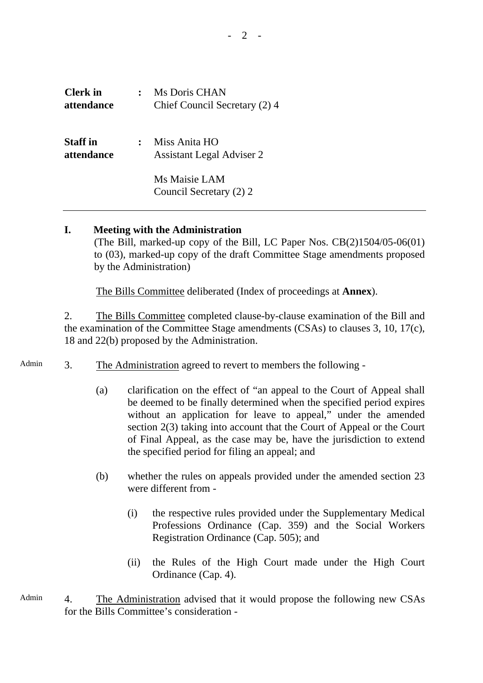$2 -$ 

| <b>Clerk</b> in<br>attendance | Ms Doris CHAN<br>Chief Council Secretary (2) 4    |
|-------------------------------|---------------------------------------------------|
| <b>Staff</b> in<br>attendance | Miss Anita HO<br><b>Assistant Legal Adviser 2</b> |
|                               | Ms Maisie LAM<br>Council Secretary (2) 2          |

#### **I. Meeting with the Administration**

 (The Bill, marked-up copy of the Bill, LC Paper Nos. CB(2)1504/05-06(01) to (03), marked-up copy of the draft Committee Stage amendments proposed by the Administration)

The Bills Committee deliberated (Index of proceedings at **Annex**).

2. The Bills Committee completed clause-by-clause examination of the Bill and the examination of the Committee Stage amendments (CSAs) to clauses 3, 10, 17(c), 18 and 22(b) proposed by the Administration.

- Admin 3. The Administration agreed to revert to members the following -
	- (a) clarification on the effect of "an appeal to the Court of Appeal shall be deemed to be finally determined when the specified period expires without an application for leave to appeal," under the amended section 2(3) taking into account that the Court of Appeal or the Court of Final Appeal, as the case may be, have the jurisdiction to extend the specified period for filing an appeal; and
	- (b) whether the rules on appeals provided under the amended section 23 were different from -
		- (i) the respective rules provided under the Supplementary Medical Professions Ordinance (Cap. 359) and the Social Workers Registration Ordinance (Cap. 505); and
		- (ii) the Rules of the High Court made under the High Court Ordinance (Cap. 4).
- Admin 4. The Administration advised that it would propose the following new CSAs for the Bills Committee's consideration -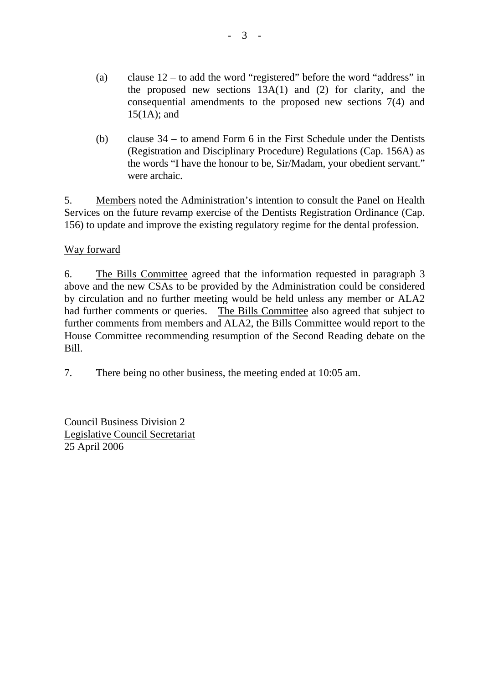- (a) clause  $12 -$  to add the word "registered" before the word "address" in the proposed new sections 13A(1) and (2) for clarity, and the consequential amendments to the proposed new sections 7(4) and 15(1A); and
- (b) clause 34 to amend Form 6 in the First Schedule under the Dentists (Registration and Disciplinary Procedure) Regulations (Cap. 156A) as the words "I have the honour to be, Sir/Madam, your obedient servant." were archaic.

5. Members noted the Administration's intention to consult the Panel on Health Services on the future revamp exercise of the Dentists Registration Ordinance (Cap. 156) to update and improve the existing regulatory regime for the dental profession.

### Way forward

6. The Bills Committee agreed that the information requested in paragraph 3 above and the new CSAs to be provided by the Administration could be considered by circulation and no further meeting would be held unless any member or ALA2 had further comments or queries. The Bills Committee also agreed that subject to further comments from members and ALA2, the Bills Committee would report to the House Committee recommending resumption of the Second Reading debate on the Bill.

7. There being no other business, the meeting ended at 10:05 am.

Council Business Division 2 Legislative Council Secretariat 25 April 2006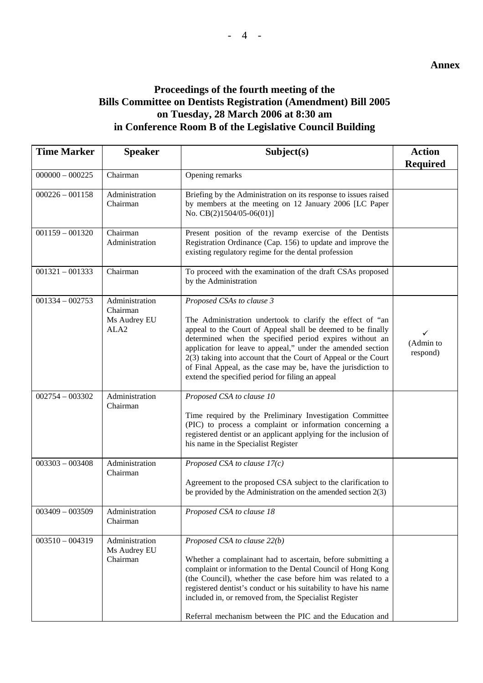#### **Annex**

## **Proceedings of the fourth meeting of the Bills Committee on Dentists Registration (Amendment) Bill 2005 on Tuesday, 28 March 2006 at 8:30 am in Conference Room B of the Legislative Council Building**

| <b>Time Marker</b> | <b>Speaker</b>                                                 | Subject(s)                                                                                                                                                                                                                                                                                                                                                                                                                                                             | <b>Action</b><br><b>Required</b> |
|--------------------|----------------------------------------------------------------|------------------------------------------------------------------------------------------------------------------------------------------------------------------------------------------------------------------------------------------------------------------------------------------------------------------------------------------------------------------------------------------------------------------------------------------------------------------------|----------------------------------|
| $000000 - 000225$  | Chairman                                                       | Opening remarks                                                                                                                                                                                                                                                                                                                                                                                                                                                        |                                  |
| $000226 - 001158$  | Administration<br>Chairman                                     | Briefing by the Administration on its response to issues raised<br>by members at the meeting on 12 January 2006 [LC Paper<br>No. $CB(2)1504/05-06(01)$ ]                                                                                                                                                                                                                                                                                                               |                                  |
| $001159 - 001320$  | Chairman<br>Administration                                     | Present position of the revamp exercise of the Dentists<br>Registration Ordinance (Cap. 156) to update and improve the<br>existing regulatory regime for the dental profession                                                                                                                                                                                                                                                                                         |                                  |
| $001321 - 001333$  | Chairman                                                       | To proceed with the examination of the draft CSAs proposed<br>by the Administration                                                                                                                                                                                                                                                                                                                                                                                    |                                  |
| $001334 - 002753$  | Administration<br>Chairman<br>Ms Audrey EU<br>ALA <sub>2</sub> | Proposed CSAs to clause 3<br>The Administration undertook to clarify the effect of "an<br>appeal to the Court of Appeal shall be deemed to be finally<br>determined when the specified period expires without an<br>application for leave to appeal," under the amended section<br>2(3) taking into account that the Court of Appeal or the Court<br>of Final Appeal, as the case may be, have the jurisdiction to<br>extend the specified period for filing an appeal | ✓<br>(Admin to<br>respond)       |
| $002754 - 003302$  | Administration<br>Chairman                                     | Proposed CSA to clause 10<br>Time required by the Preliminary Investigation Committee<br>(PIC) to process a complaint or information concerning a<br>registered dentist or an applicant applying for the inclusion of<br>his name in the Specialist Register                                                                                                                                                                                                           |                                  |
| $003303 - 003408$  | Administration<br>Chairman                                     | Proposed CSA to clause $17(c)$<br>Agreement to the proposed CSA subject to the clarification to<br>be provided by the Administration on the amended section $2(3)$                                                                                                                                                                                                                                                                                                     |                                  |
| $003409 - 003509$  | Administration<br>Chairman                                     | Proposed CSA to clause 18                                                                                                                                                                                                                                                                                                                                                                                                                                              |                                  |
| $003510 - 004319$  | Administration<br>Ms Audrey EU<br>Chairman                     | Proposed CSA to clause 22(b)<br>Whether a complainant had to ascertain, before submitting a<br>complaint or information to the Dental Council of Hong Kong<br>(the Council), whether the case before him was related to a<br>registered dentist's conduct or his suitability to have his name<br>included in, or removed from, the Specialist Register<br>Referral mechanism between the PIC and the Education and                                                     |                                  |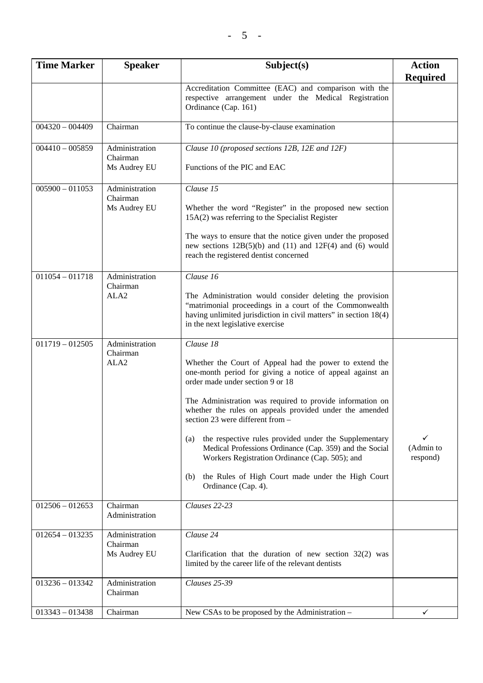| <b>Time Marker</b> | <b>Speaker</b>                                 | Subject(s)                                                                                                                                                                                                                                                                                                                                                                                                                                                                                                                                                                                          | <b>Action</b><br><b>Required</b> |
|--------------------|------------------------------------------------|-----------------------------------------------------------------------------------------------------------------------------------------------------------------------------------------------------------------------------------------------------------------------------------------------------------------------------------------------------------------------------------------------------------------------------------------------------------------------------------------------------------------------------------------------------------------------------------------------------|----------------------------------|
|                    |                                                | Accreditation Committee (EAC) and comparison with the<br>respective arrangement under the Medical Registration<br>Ordinance (Cap. 161)                                                                                                                                                                                                                                                                                                                                                                                                                                                              |                                  |
| $004320 - 004409$  | Chairman                                       | To continue the clause-by-clause examination                                                                                                                                                                                                                                                                                                                                                                                                                                                                                                                                                        |                                  |
| $004410 - 005859$  | Administration<br>Chairman<br>Ms Audrey EU     | Clause 10 (proposed sections 12B, 12E and 12F)<br>Functions of the PIC and EAC                                                                                                                                                                                                                                                                                                                                                                                                                                                                                                                      |                                  |
| $005900 - 011053$  | Administration<br>Chairman<br>Ms Audrey EU     | Clause 15<br>Whether the word "Register" in the proposed new section<br>15A(2) was referring to the Specialist Register<br>The ways to ensure that the notice given under the proposed<br>new sections $12B(5)(b)$ and $(11)$ and $12F(4)$ and $(6)$ would<br>reach the registered dentist concerned                                                                                                                                                                                                                                                                                                |                                  |
| $011054 - 011718$  | Administration<br>Chairman<br>ALA <sub>2</sub> | Clause 16<br>The Administration would consider deleting the provision<br>"matrimonial proceedings in a court of the Commonwealth<br>having unlimited jurisdiction in civil matters" in section 18(4)<br>in the next legislative exercise                                                                                                                                                                                                                                                                                                                                                            |                                  |
| $011719 - 012505$  | Administration<br>Chairman<br>ALA <sub>2</sub> | Clause 18<br>Whether the Court of Appeal had the power to extend the<br>one-month period for giving a notice of appeal against an<br>order made under section 9 or 18<br>The Administration was required to provide information on<br>whether the rules on appeals provided under the amended<br>section 23 were different from $-$<br>the respective rules provided under the Supplementary<br>(a)<br>Medical Professions Ordinance (Cap. 359) and the Social<br>Workers Registration Ordinance (Cap. 505); and<br>the Rules of High Court made under the High Court<br>(b)<br>Ordinance (Cap. 4). | ✓<br>(Admin to<br>respond)       |
| $012506 - 012653$  | Chairman<br>Administration                     | Clauses 22-23                                                                                                                                                                                                                                                                                                                                                                                                                                                                                                                                                                                       |                                  |
| $012654 - 013235$  | Administration<br>Chairman<br>Ms Audrey EU     | Clause 24<br>Clarification that the duration of new section $32(2)$ was<br>limited by the career life of the relevant dentists                                                                                                                                                                                                                                                                                                                                                                                                                                                                      |                                  |
| $013236 - 013342$  | Administration<br>Chairman                     | Clauses 25-39                                                                                                                                                                                                                                                                                                                                                                                                                                                                                                                                                                                       |                                  |
| $013343 - 013438$  | Chairman                                       | New CSAs to be proposed by the Administration –                                                                                                                                                                                                                                                                                                                                                                                                                                                                                                                                                     | ✓                                |